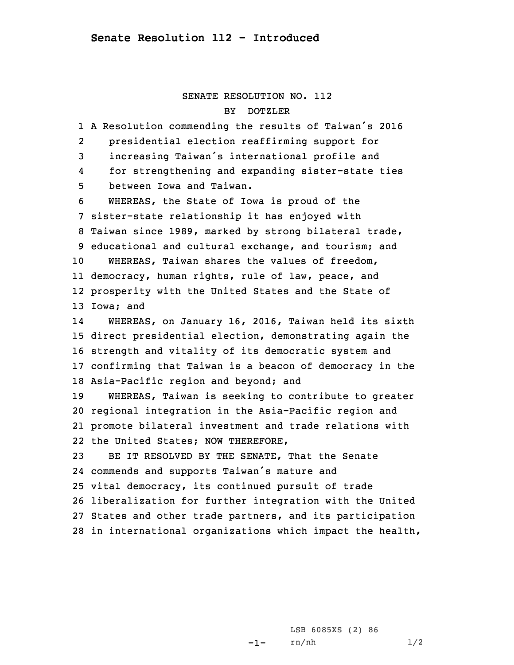## SENATE RESOLUTION NO. 112 BYDOTZLER

 <sup>A</sup> Resolution commending the results of Taiwan's <sup>2016</sup> 2 presidential election reaffirming support for increasing Taiwan's international profile and 4 for strengthening and expanding sister-state ties between Iowa and Taiwan. WHEREAS, the State of Iowa is proud of the sister-state relationship it has enjoyed with Taiwan since 1989, marked by strong bilateral trade, educational and cultural exchange, and tourism; and WHEREAS, Taiwan shares the values of freedom, democracy, human rights, rule of law, peace, and prosperity with the United States and the State of Iowa; and 14 WHEREAS, on January 16, 2016, Taiwan held its sixth direct presidential election, demonstrating again the strength and vitality of its democratic system and confirming that Taiwan is <sup>a</sup> beacon of democracy in the Asia-Pacific region and beyond; and WHEREAS, Taiwan is seeking to contribute to greater regional integration in the Asia-Pacific region and promote bilateral investment and trade relations with the United States; NOW THEREFORE, BE IT RESOLVED BY THE SENATE, That the Senate commends and supports Taiwan's mature and vital democracy, its continued pursuit of trade liberalization for further integration with the United States and other trade partners, and its participation in international organizations which impact the health,

> -1-LSB 6085XS (2) 86 rn/nh 1/2